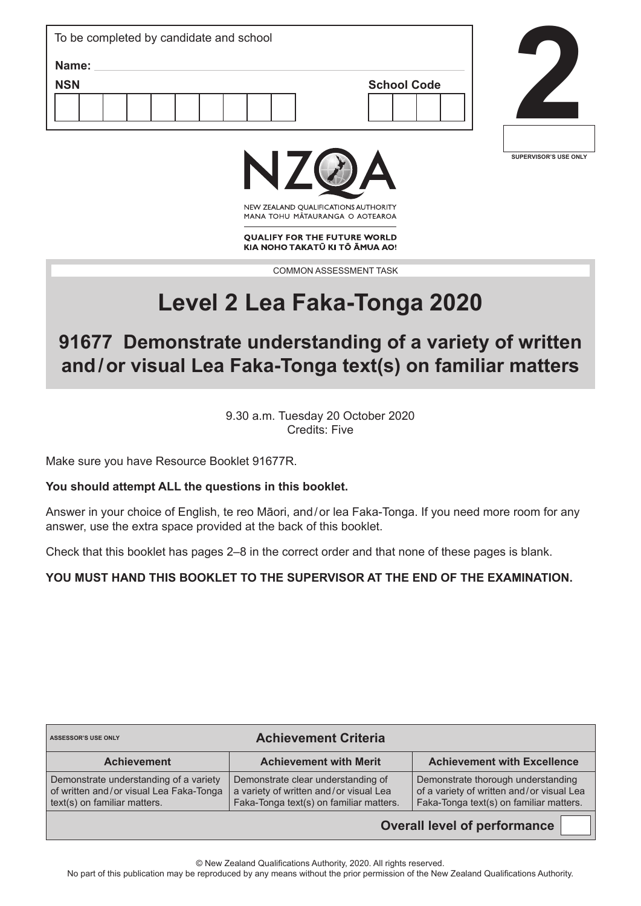| To be completed by candidate and school   |  |
|-------------------------------------------|--|
| Name:<br><b>NSN</b><br><b>School Code</b> |  |
|                                           |  |



NEW ZEALAND OUALIFICATIONS AUTHORITY MANA TOHU MATAURANGA O AOTEAROA

**QUALIFY FOR THE FUTURE WORLD** KIA NOHO TAKATŪ KI TŌ ĀMUA AO!

COMMON ASSESSMENT TASK

# **Level 2 Lea Faka-Tonga 2020**

**91677 Demonstrate understanding of a variety of written and/or visual Lea Faka-Tonga text(s) on familiar matters**

> 9.30 a.m. Tuesday 20 October 2020 Credits: Five

Make sure you have Resource Booklet 91677R.

#### **You should attempt ALL the questions in this booklet.**

Answer in your choice of English, te reo Māori, and/or lea Faka-Tonga. If you need more room for any answer, use the extra space provided at the back of this booklet.

Check that this booklet has pages 2–8 in the correct order and that none of these pages is blank.

## **YOU MUST HAND THIS BOOKLET TO THE SUPERVISOR AT THE END OF THE EXAMINATION.**

| <b>Achievement Criteria</b><br>ASSESSOR'S USE ONLY                                                                |                                                                                                                         |                                                                                                                            |
|-------------------------------------------------------------------------------------------------------------------|-------------------------------------------------------------------------------------------------------------------------|----------------------------------------------------------------------------------------------------------------------------|
| <b>Achievement</b>                                                                                                | <b>Achievement with Merit</b>                                                                                           | <b>Achievement with Excellence</b>                                                                                         |
| Demonstrate understanding of a variety<br>of written and/or visual Lea Faka-Tonga<br>text(s) on familiar matters. | Demonstrate clear understanding of<br>a variety of written and/or visual Lea<br>Faka-Tonga text(s) on familiar matters. | Demonstrate thorough understanding<br>of a variety of written and/or visual Lea<br>Faka-Tonga text(s) on familiar matters. |

**Overall level of performance**

**SUPERVISOR'S USE ONL** 

© New Zealand Qualifications Authority, 2020. All rights reserved.

No part of this publication may be reproduced by any means without the prior permission of the New Zealand Qualifications Authority.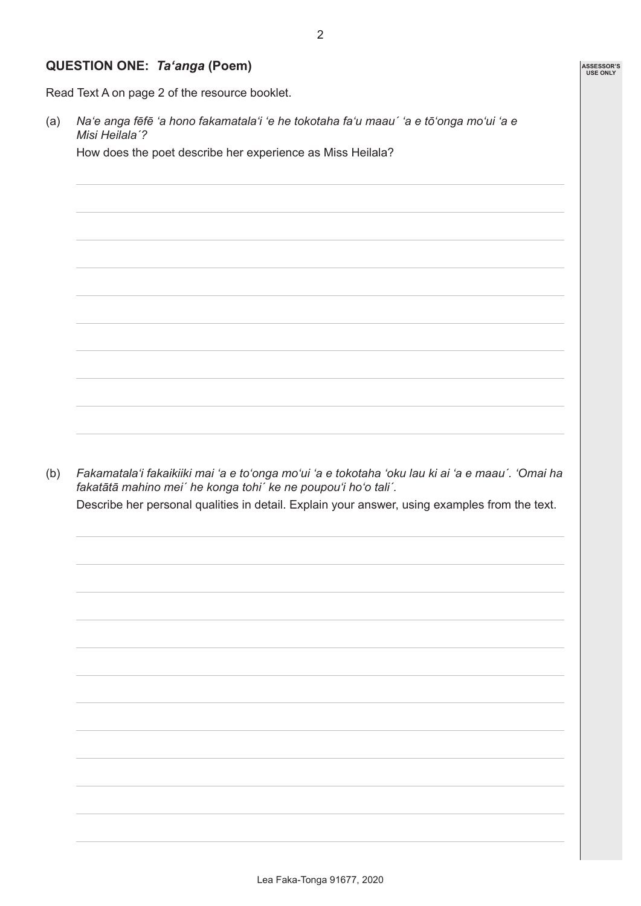### **QUESTION ONE:** *Taʻanga* **(Poem)**

Read Text A on page 2 of the resource booklet.

(a) *Na'e anga fēfē ʻa hono fakamatala'i 'e he tokotaha fa'u maau´ 'a e tō'onga mo'ui 'a e Misi Heilala´?*

How does the poet describe her experience as Miss Heilala?

(b) Fakamatala'i fakaikiiki mai 'a e to'onga mo'ui 'a e tokotaha 'oku lau ki ai 'a e maau'. 'Omai ha *fakatātā mahino mei´ he konga tohi´ ke ne poupou'i ho'o tali´.* Describe her personal qualities in detail. Explain your answer, using examples from the text.

**ASSESSOR'S USE ONLY**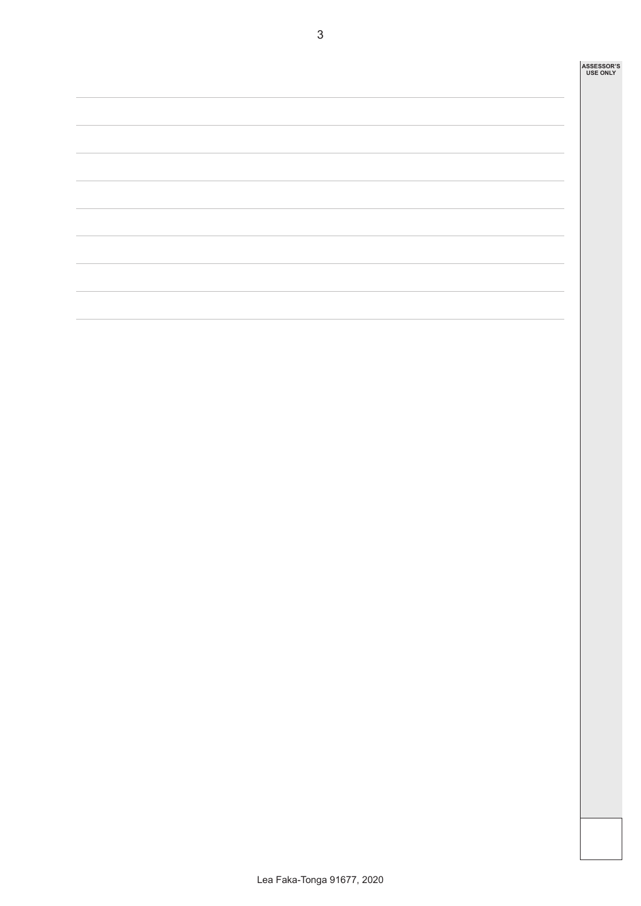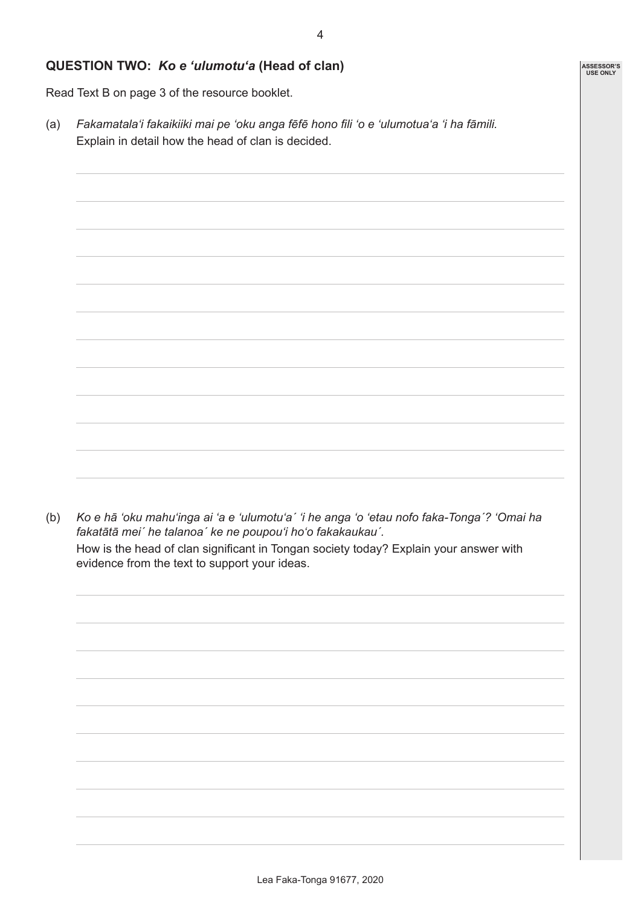**ASSESSOR'S USE ONLY**

## **QUESTION TWO:** *Ko e ʻulumotuʻa* **(Head of clan)**

Read Text B on page 3 of the resource booklet.

(a) *Fakamatala'i fakaikiiki mai pe 'oku anga fēfē hono fili 'o e 'ulumotua'a 'i ha fāmili.* Explain in detail how the head of clan is decided.

(b) *Ko e hā 'oku mahu'inga ai 'a e 'ulumotu'a´ 'i he anga 'o 'etau nofo faka-Tonga´? 'Omai ha fakatātā mei´ he talanoa´ ke ne poupou'i ho'o fakakaukau´.*

How is the head of clan significant in Tongan society today? Explain your answer with evidence from the text to support your ideas.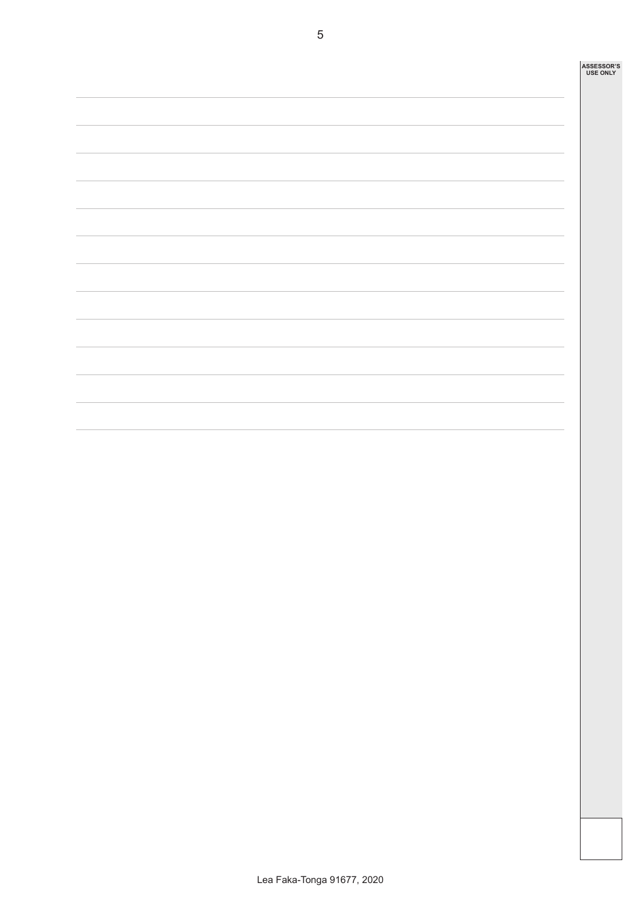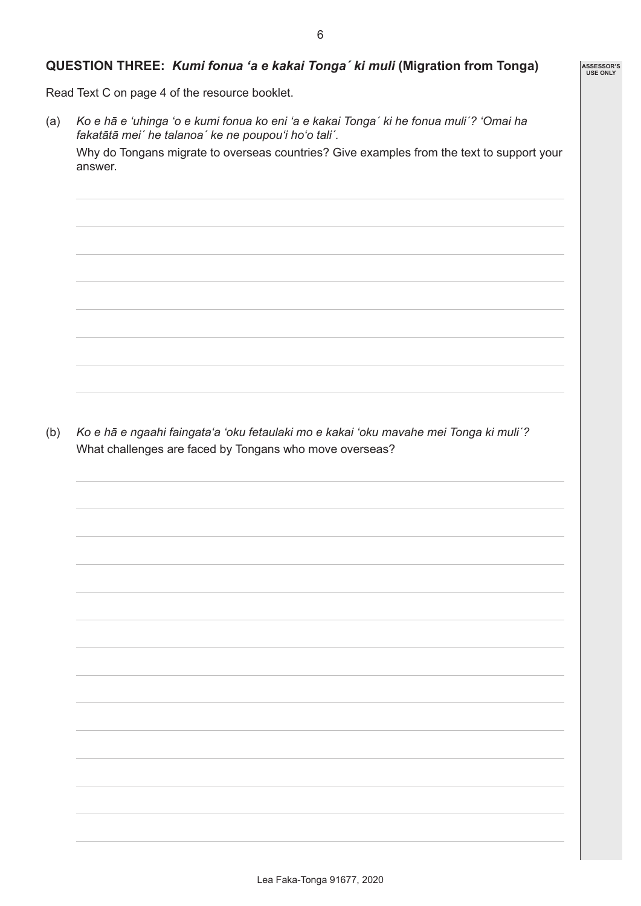### **QUESTION THREE:** *Kumi fonua ʻa e kakai Tonga´ ki muli* **(Migration from Tonga)**

Read Text C on page 4 of the resource booklet.

(a) Ko e hā e 'uhinga 'o e kumi fonua ko eni 'a e kakai Tonga' ki he fonua muli'? 'Omai ha *fakatātā mei´ he talanoa´ ke ne poupou'i ho'o tali´.* Why do Tongans migrate to overseas countries? Give examples from the text to support your answer.

(b) *Ko e hā e ngaahi faingata'a 'oku fetaulaki mo e kakai 'oku mavahe mei Tonga ki muli´?* What challenges are faced by Tongans who move overseas?

**ASSESSOR'S USE ONLY**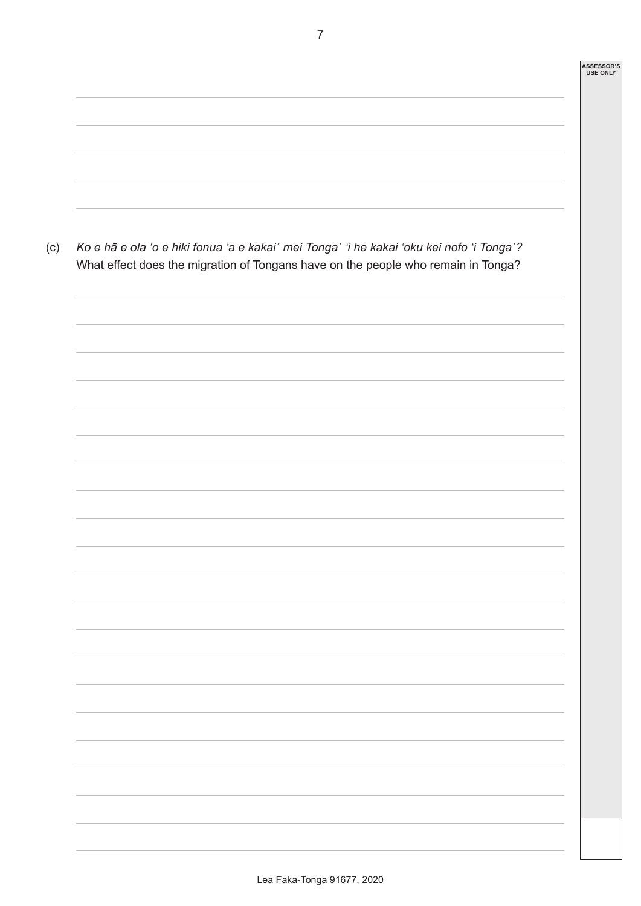(c) Ko e hā e ola 'o e hiki fonua 'a e kakai' mei Tonga' 'i he kakai 'oku kei nofo 'i Tonga'? What effect does the migration of Tongans have on the people who remain in Tonga?

7